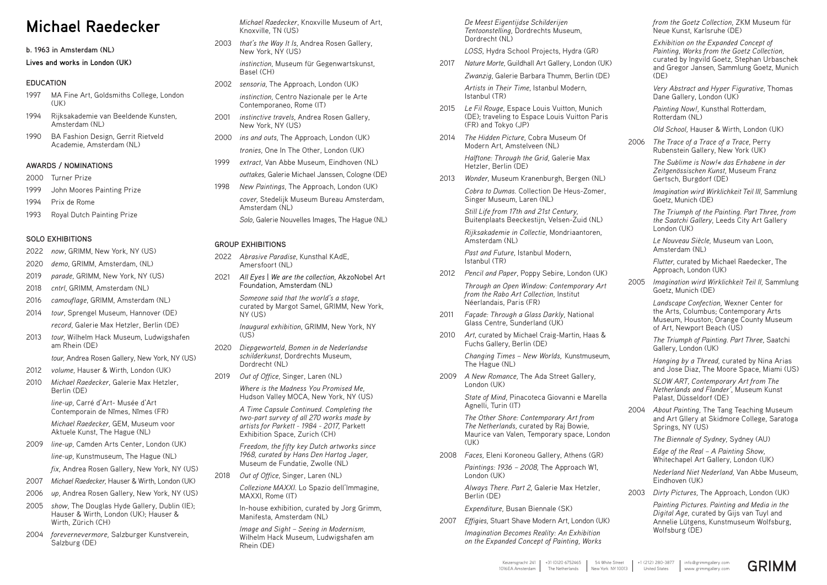# **Michael Raedecker**

#### **b. 1963 in Amsterdam (NL)**

# **Lives and works in London (UK)**

# **EDUCATION**

- 1997 MA Fine Art, Goldsmiths College, London (UK)
- 1994 Rijksakademie van Beeldende Kunsten, Amsterdam (NL)
- 1990 BA Fashion Design, Gerrit Rietveld Academie, Amsterdam (NL)

# **AWARDS / NOMINATIONS**

- 2000 Turner Prize
- 1999 John Moores Painting Prize
- 1994 Prix de Rome
- 1993 Royal Dutch Painting Prize

# **SOLO EXHIBITIONS**

- 2022 *now*, GRIMM, New York, NY (US)
- 2020 *demo,* GRIMM, Amsterdam, (NL)
- 2019 *parade,* GRIMM, New York, NY (US)
- 2018 *cntrl*, GRIMM, Amsterdam (NL)

2016 *camouflage*, GRIMM, Amsterdam (NL)

- 2014 *tour*, Sprengel Museum, Hannover (DE) *record*, Galerie Max Hetzler, Berlin (DE)
- 2013 *tour,* Wilhelm Hack Museum, Ludwigshafen am Rhein (DE)

*tour,* Andrea Rosen Gallery, New York, NY (US)

- 2012 *volume,* Hauser & Wirth, London (UK)
- 2010 *Michael Raedecker*, Galerie Max Hetzler, Berlin (DE)

*line-up,* Carré d'Art- Musée d'Art Contemporain de Nîmes, Nîmes (FR)

*Michael Raedecker,* GEM, Museum voor Aktuele Kunst, The Hague (NL)

2009 *line-up,* Camden Arts Center, London (UK) *line-up,* Kunstmuseum, The Hague (NL) *fix,* Andrea Rosen Gallery, New York, NY (US)

2007 *Michael Raedecker,* Hauser & Wirth, London (UK)

- 2006 *up,* Andrea Rosen Gallery, New York, NY (US)
- 2005 *show,* The Douglas Hyde Gallery, Dublin (IE); Hauser & Wirth, London (UK); Hauser & Wirth, Zürich (CH)
- 2004 *forevernevermore,* Salzburger Kunstverein, Salzburg (DE)

*Michael Raedecker*, Knoxville Museum of Art, Knoxville, TN (US)

2003 *that's the Way It Is*, Andrea Rosen Gallery, New York, NY (US)

*instinction,* Museum für Gegenwartskunst, Basel (CH)

- 2002 *sensoria*, The Approach, London (UK) *instinction,* Centro Nazionale per le Arte Contemporaneo, Rome (IT)
- 2001 *instinctive travels*, Andrea Rosen Gallery, New York, NY (US)
- 2000 *ins and outs,* The Approach, London (UK) *tronies,* One In The Other, London (UK)
- 1999 *extract,* Van Abbe Museum, Eindhoven (NL) *outtakes,* Galerie Michael Janssen, Cologne (DE)
- 1998 *New Paintings,* The Approach, London (UK) *cover,* Stedelijk Museum Bureau Amsterdam, Amsterdam (NL)

*Solo,* Galerie Nouvelles Images, The Hague (NL)

# **GROUP EXHIBITIONS**

- 2022 *Abrasive Paradise*, Kunsthal KAdE, Amersfoort (NL)
- 2021 *All Eyes* | *We are the collection*, AkzoNobel Art Foundation, Amsterdam (NL)

*Someone said that the world's a stage*, curated by Margot Samel, GRIMM, New York, NY (US)

*Inaugural exhibition*, GRIMM, New York, NY (US)

- 2020 *Diepgeworteld*, *Bomen in de Nederlandse schilderkunst,* Dordrechts Museum, Dordrecht (NL)
- 2019 *Out of Office,* Singer, Laren (NL)

*Where is the Madness You Promised Me,*  Hudson Valley MOCA, New York, NY (US)

*Exhibition on the Expanded Concept of Painting, Works from the Goetz Collection,*  curated by Ingvild Goetz, Stephan Urbaschek and Gregor Jansen, Sammlung Goetz, Munich  $(DF)$ 

*Very Abstract and Hyper Figurative,* Thomas Dane Gallery, London (UK)

*A Time Capsule Continued. Completing the two-part survey of all 270 works made by artists for Parkett - 1984 - 2017,* Parkett Exhibition Space, Zurich (CH)

*Freedom, the fifty key Dutch artworks since 1968, curated by Hans Den Hartog Jager,* Museum de Fundatie, Zwolle (NL)

2018 *Out of Office*, Singer, Laren (NL)

*Collezione MAXXI.* Lo Spazio dell'Immagine, MAXXI, Rome (IT)

In-house exhibition, curated by Jorg Grimm, Manifesta, Amsterdam (NL)

*Image and Sight – Seeing in Modernism,*  Wilhelm Hack Museum, Ludwigshafen am Rhein (DE)





*De Meest Eigentijdse Schilderijen Tentoonstelling,* Dordrechts Museum, Dordrecht (NL)

*LOSS*, Hydra School Projects, Hydra (GR)

2017 *Nature Morte,* Guildhall Art Gallery, London (UK) *Zwanzig,* Galerie Barbara Thumm, Berlin (DE) *Artists in Their Time*, Istanbul Modern,

Istanbul (TR) 2015 *Le Fil Rouge,* Espace Louis Vuitton, Munich (DE); traveling to Espace Louis Vuitton Paris

(FR) and Tokyo (JP)

2014 *The Hidden Picture,* Cobra Museum Of Modern Art, Amstelveen (NL)

> *Halftone: Through the Grid,* Galerie Max Hetzler, Berlin (DE)

2013 *Wonder,* Museum Kranenburgh, Bergen (NL)

*Cobra to Dumas.* Collection De Heus-Zomer, Singer Museum, Laren (NL)

*Still Life from 17th and 21st Century,*  Buitenplaats Beeckestijn, Velsen-Zuid (NL)

*Rijksakademie in Collectie,* Mondriaantoren, Amsterdam (NL)

*Past and Future*, Istanbul Modern, Istanbul (TR)

- 2012 *Pencil and Paper*, Poppy Sebire, London (UK) *Through an Open Window: Contemporary Art from the Rabo Art Collection,* Institut
- 2011 *Façade: Through a Glass Darkly,* National Glass Centre, Sunderland (UK)

Néerlandais, Paris (FR)

2010 *Art*, curated by Michael Craig-Martin, Haas & Fuchs Gallery, Berlin (DE)

> *Changing Times – New Worlds,* Kunstmuseum, The Hague (NL)

2009 *A New Romance,* The Ada Street Gallery, London (UK)

> *State of Mind,* Pinacoteca Giovanni e Marella Agnelli, Turin (IT)

*The Other Shore: Contemporary Art from The Netherlands,* curated by Raj Bowie, Maurice van Valen, Temporary space, London (UK)

2008 *Faces,* Eleni Koroneou Gallery, Athens (GR)

*Paintings: 1936 – 2008,* The Approach W1, London (UK)

*Always There. Part 2,* Galerie Max Hetzler, Berlin (DE)

*Expenditure,* Busan Biennale (SK)

2007 *Effigies,* Stuart Shave Modern Art, London (UK)

*Imagination Becomes Reality: An Exhibition on the Expanded Concept of Painting, Works*  *from the Goetz Collection,* ZKM Museum für Neue Kunst, Karlsruhe (DE)

*Painting Now!,* Kunsthal Rotterdam, Rotterdam (NL)

*Old School,* Hauser & Wirth, London (UK)

2006 *The Trace of a Trace of a Trace,* Perry Rubenstein Gallery, New York (UK)

> *The Sublime is Now!« das Erhabene in der Zeitgenössischen Kunst,* Museum Franz Gertsch, Burgdorf (DE)

*Imagination wird Wirklichkeit Teil III,* Sammlung Goetz, Munich (DE)

*The Triumph of the Painting. Part Three, from the Saatchi Gallery,* Leeds City Art Gallery London (UK)

*Le Nouveau Siècle,* Museum van Loon, Amsterdam (NL)

*Flutter,* curated by Michael Raedecker, The Approach, London (UK)

2005 *Imagination wird Wirklichkeit Teil II,* Sammlung Goetz, Munich (DE)

> *Landscape Confection,* Wexner Center for the Arts, Columbus; Contemporary Arts Museum, Houston; Orange County Museum of Art, Newport Beach (US)

*The Triumph of Painting. Part Three,* Saatchi Gallery, London (UK)

*Hanging by a Thread,* curated by Nina Arias and Jose Diaz, The Moore Space, Miami (US)

*SLOW ART, Contemporary Art from The Netherlands and Flander'*, Museum Kunst Palast, Düsseldorf (DE)

2004 *About Painting,* The Tang Teaching Museum and Art Gllery at Skidmore College, Saratoga Springs, NY (US)

*The Biennale of Sydney,* Sydney (AU)

*Edge of the Real – A Painting Show,*  Whitechapel Art Gallery, London (UK)

*Nederland Niet Nederland,* Van Abbe Museum, Eindhoven (UK)

2003 *Dirty Pictures,* The Approach, London (UK)

*Painting Pictures. Painting and Media in the Digital Age,* curated by Gijs van Tuyl and Annelie Lütgens, Kunstmuseum Wolfsburg, Wolfsburg (DE)